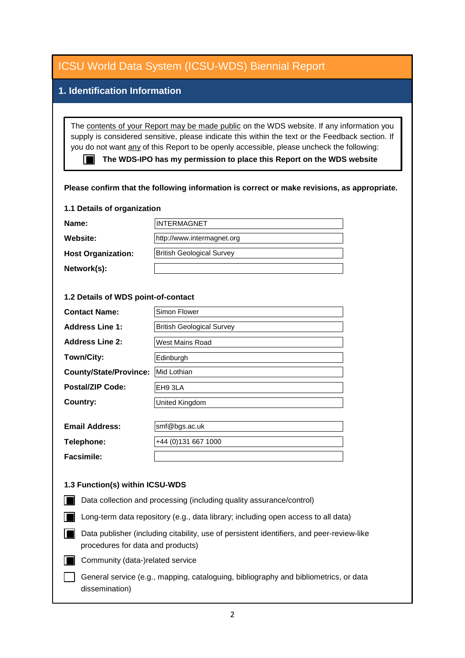| <b>ICSU World Data System (ICSU-WDS) Biennial Report</b>                                                                                                                                                                                                                                                                                                                                                                                                                |                                  |
|-------------------------------------------------------------------------------------------------------------------------------------------------------------------------------------------------------------------------------------------------------------------------------------------------------------------------------------------------------------------------------------------------------------------------------------------------------------------------|----------------------------------|
| 1. Identification Information                                                                                                                                                                                                                                                                                                                                                                                                                                           |                                  |
|                                                                                                                                                                                                                                                                                                                                                                                                                                                                         |                                  |
| The contents of your Report may be made public on the WDS website. If any information you<br>supply is considered sensitive, please indicate this within the text or the Feedback section. If<br>you do not want any of this Report to be openly accessible, please uncheck the following:<br>The WDS-IPO has my permission to place this Report on the WDS website<br>m<br>Please confirm that the following information is correct or make revisions, as appropriate. |                                  |
| 1.1 Details of organization                                                                                                                                                                                                                                                                                                                                                                                                                                             |                                  |
| Name:                                                                                                                                                                                                                                                                                                                                                                                                                                                                   | <b>INTERMAGNET</b>               |
| Website:                                                                                                                                                                                                                                                                                                                                                                                                                                                                | http://www.intermagnet.org       |
| <b>Host Organization:</b>                                                                                                                                                                                                                                                                                                                                                                                                                                               | <b>British Geological Survey</b> |
| Network(s):                                                                                                                                                                                                                                                                                                                                                                                                                                                             |                                  |
|                                                                                                                                                                                                                                                                                                                                                                                                                                                                         |                                  |
| 1.2 Details of WDS point-of-contact                                                                                                                                                                                                                                                                                                                                                                                                                                     |                                  |
| <b>Contact Name:</b>                                                                                                                                                                                                                                                                                                                                                                                                                                                    | Simon Flower                     |
| <b>Address Line 1:</b>                                                                                                                                                                                                                                                                                                                                                                                                                                                  | <b>British Geological Survey</b> |
| <b>Address Line 2:</b>                                                                                                                                                                                                                                                                                                                                                                                                                                                  | <b>West Mains Road</b>           |
| Town/City:                                                                                                                                                                                                                                                                                                                                                                                                                                                              | Edinburgh                        |
| <b>County/State/Province:</b>                                                                                                                                                                                                                                                                                                                                                                                                                                           | Mid Lothian                      |
| <b>Postal/ZIP Code:</b>                                                                                                                                                                                                                                                                                                                                                                                                                                                 | EH93LA                           |
| <b>Country:</b>                                                                                                                                                                                                                                                                                                                                                                                                                                                         | <b>United Kingdom</b>            |
|                                                                                                                                                                                                                                                                                                                                                                                                                                                                         |                                  |
| <b>Email Address:</b>                                                                                                                                                                                                                                                                                                                                                                                                                                                   | smf@bgs.ac.uk                    |
| Telephone:                                                                                                                                                                                                                                                                                                                                                                                                                                                              | +44 (0)131 667 1000              |
| <b>Facsimile:</b>                                                                                                                                                                                                                                                                                                                                                                                                                                                       |                                  |
| 1.3 Function(s) within ICSU-WDS                                                                                                                                                                                                                                                                                                                                                                                                                                         |                                  |
|                                                                                                                                                                                                                                                                                                                                                                                                                                                                         |                                  |
| Data collection and processing (including quality assurance/control)                                                                                                                                                                                                                                                                                                                                                                                                    |                                  |
| Long-term data repository (e.g., data library; including open access to all data)                                                                                                                                                                                                                                                                                                                                                                                       |                                  |
| Data publisher (including citability, use of persistent identifiers, and peer-review-like<br>procedures for data and products)                                                                                                                                                                                                                                                                                                                                          |                                  |
| Community (data-)related service                                                                                                                                                                                                                                                                                                                                                                                                                                        |                                  |
| General service (e.g., mapping, cataloguing, bibliography and bibliometrics, or data<br>dissemination)                                                                                                                                                                                                                                                                                                                                                                  |                                  |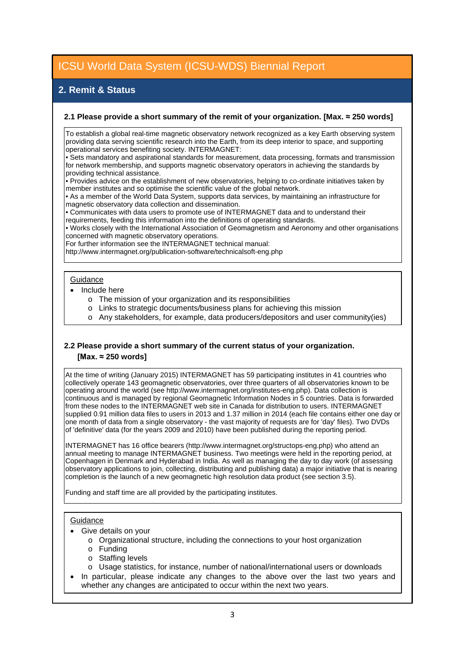# **2. Remit & Status**

#### **2.1 Please provide a short summary of the remit of your organization. [Max. ≈ 250 words]**

To establish a global real-time magnetic observatory network recognized as a key Earth observing system providing data serving scientific research into the Earth, from its deep interior to space, and supporting operational services benefiting society. INTERMAGNET:

• Sets mandatory and aspirational standards for measurement, data processing, formats and transmission for network membership, and supports magnetic observatory operators in achieving the standards by providing technical assistance.

• Provides advice on the establishment of new observatories, helping to co-ordinate initiatives taken by member institutes and so optimise the scientific value of the global network.

• As a member of the World Data System, supports data services, by maintaining an infrastructure for magnetic observatory data collection and dissemination.

• Communicates with data users to promote use of INTERMAGNET data and to understand their requirements, feeding this information into the definitions of operating standards.

• Works closely with the International Association of Geomagnetism and Aeronomy and other organisations

concerned with magnetic observatory operations.

For further information see the INTERMAGNET technical manual:

http://www.intermagnet.org/publication-software/technicalsoft-eng.php

### **Guidance**

- Include here
	- o The mission of your organization and its responsibilities
	- o Links to strategic documents/business plans for achieving this mission
	- o Any stakeholders, for example, data producers/depositors and user community(ies)

### **2.2 Please provide a short summary of the current status of your organization. [Max. ≈ 250 words]**

At the time of writing (January 2015) INTERMAGNET has 59 participating institutes in 41 countries who collectively operate 143 geomagnetic observatories, over three quarters of all observatories known to be operating around the world (see http://www.intermagnet.org/institutes-eng.php). Data collection is continuous and is managed by regional Geomagnetic Information Nodes in 5 countries. Data is forwarded from these nodes to the INTERMAGNET web site in Canada for distribution to users. INTERMAGNET supplied 0.91 million data files to users in 2013 and 1.37 million in 2014 (each file contains either one day or one month of data from a single observatory - the vast majority of requests are for 'day' files). Two DVDs of 'definitive' data (for the years 2009 and 2010) have been published during the reporting period.

INTERMAGNET has 16 office bearers (http://www.intermagnet.org/structops-eng.php) who attend an annual meeting to manage INTERMAGNET business. Two meetings were held in the reporting period, at Copenhagen in Denmark and Hyderabad in India. As well as managing the day to day work (of assessing observatory applications to join, collecting, distributing and publishing data) a major initiative that is nearing completion is the launch of a new geomagnetic high resolution data product (see section 3.5).

Funding and staff time are all provided by the participating institutes.

#### **Guidance**

- Give details on your
	- o Organizational structure, including the connections to your host organization
	- o Funding
	- o Staffing levels
	- o Usage statistics, for instance, number of national/international users or downloads
- In particular, please indicate any changes to the above over the last two years and whether any changes are anticipated to occur within the next two years.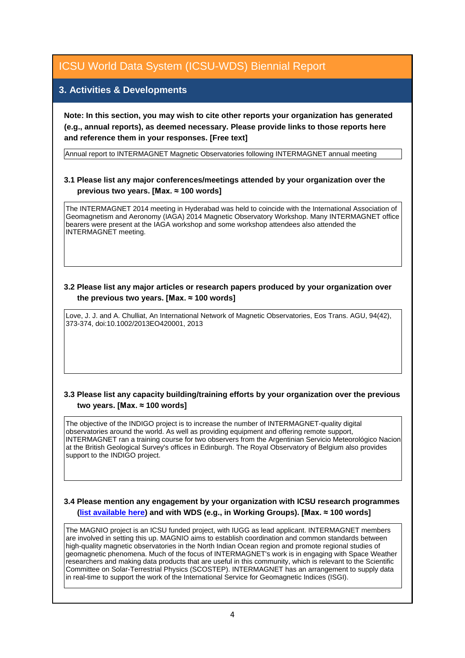## **3. Activities & Developments**

**Note: In this section, you may wish to cite other reports your organization has generated (e.g., annual reports), as deemed necessary. Please provide links to those reports here and reference them in your responses. [Free text]**

Annual report to INTERMAGNET Magnetic Observatories following INTERMAGNET annual meeting

### **3.1 Please list any major conferences/meetings attended by your organization over the previous two years. [Max. ≈ 100 words]**

The INTERMAGNET 2014 meeting in Hyderabad was held to coincide with the International Association of Geomagnetism and Aeronomy (IAGA) 2014 Magnetic Observatory Workshop. Many INTERMAGNET office bearers were present at the IAGA workshop and some workshop attendees also attended the INTERMAGNET meeting.

### **3.2 Please list any major articles or research papers produced by your organization over the previous two years. [Max. ≈ 100 words]**

Love, J. J. and A. Chulliat, An International Network of Magnetic Observatories, Eos Trans. AGU, 94(42), 373-374, doi:10.1002/2013EO420001, 2013

### **3.3 Please list any capacity building/training efforts by your organization over the previous two years. [Max. ≈ 100 words]**

The objective of the INDIGO project is to increase the number of INTERMAGNET-quality digital observatories around the world. As well as providing equipment and offering remote support, INTERMAGNET ran a training course for two observers from the Argentinian Servicio Meteorológico Nacion at the British Geological Survey's offices in Edinburgh. The Royal Observatory of Belgium also provides support to the INDIGO project.

#### **3.4 Please mention any engagement by your organization with ICSU research programmes [\(list available here\)](http://www.icsu.org/what-we-do/@@category_search?path=/icsu/what-we-do&Subject:list=International%20Research%20Collaboration) and with WDS (e.g., in Working Groups). [Max. ≈ 100 words]**

The MAGNIO project is an ICSU funded project, with IUGG as lead applicant. INTERMAGNET members are involved in setting this up. MAGNIO aims to establish coordination and common standards between high-quality magnetic observatories in the North Indian Ocean region and promote regional studies of geomagnetic phenomena. Much of the focus of INTERMAGNET's work is in engaging with Space Weather researchers and making data products that are useful in this community, which is relevant to the Scientific Committee on Solar-Terrestrial Physics (SCOSTEP). INTERMAGNET has an arrangement to supply data in real-time to support the work of the International Service for Geomagnetic Indices (ISGI).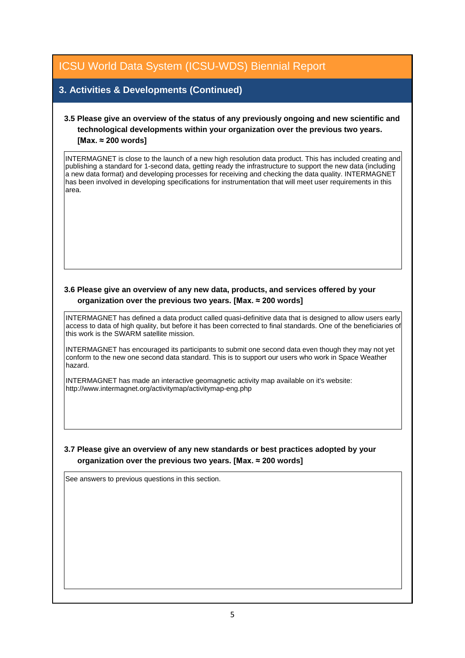## **3. Activities & Developments (Continued)**

## **3.5 Please give an overview of the status of any previously ongoing and new scientific and technological developments within your organization over the previous two years. [Max. ≈ 200 words]**

INTERMAGNET is close to the launch of a new high resolution data product. This has included creating and publishing a standard for 1-second data, getting ready the infrastructure to support the new data (including a new data format) and developing processes for receiving and checking the data quality. INTERMAGNET has been involved in developing specifications for instrumentation that will meet user requirements in this area.

### **3.6 Please give an overview of any new data, products, and services offered by your organization over the previous two years. [Max. ≈ 200 words]**

INTERMAGNET has defined a data product called quasi-definitive data that is designed to allow users early access to data of high quality, but before it has been corrected to final standards. One of the beneficiaries of this work is the SWARM satellite mission.

INTERMAGNET has encouraged its participants to submit one second data even though they may not yet conform to the new one second data standard. This is to support our users who work in Space Weather hazard.

INTERMAGNET has made an interactive geomagnetic activity map available on it's website: http://www.intermagnet.org/activitymap/activitymap-eng.php

### **3.7 Please give an overview of any new standards or best practices adopted by your organization over the previous two years. [Max. ≈ 200 words]**

See answers to previous questions in this section.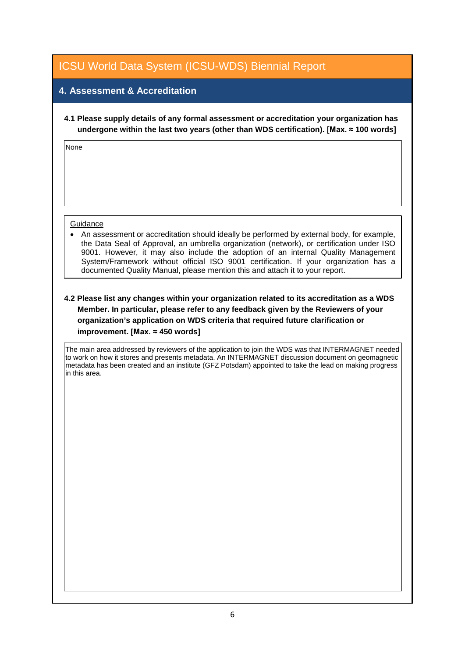# **4. Assessment & Accreditation**

**4.1 Please supply details of any formal assessment or accreditation your organization has undergone within the last two years (other than WDS certification). [Max. ≈ 100 words]**

None

#### **Guidance**

• An assessment or accreditation should ideally be performed by external body, for example, the Data Seal of Approval, an umbrella organization (network), or certification under ISO 9001. However, it may also include the adoption of an internal Quality Management System/Framework without official ISO 9001 certification. If your organization has a documented Quality Manual, please mention this and attach it to your report.

### **4.2 Please list any changes within your organization related to its accreditation as a WDS Member. In particular, please refer to any feedback given by the Reviewers of your organization's application on WDS criteria that required future clarification or improvement. [Max. ≈ 450 words]**

The main area addressed by reviewers of the application to join the WDS was that INTERMAGNET needed to work on how it stores and presents metadata. An INTERMAGNET discussion document on geomagnetic metadata has been created and an institute (GFZ Potsdam) appointed to take the lead on making progress in this area.